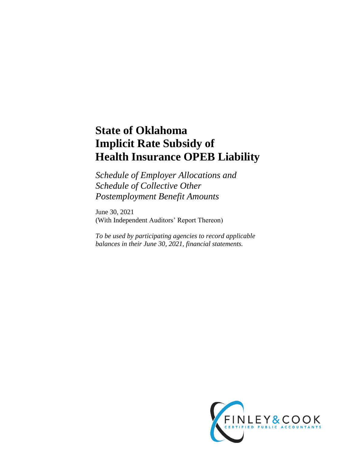# **State of Oklahoma Implicit Rate Subsidy of Health Insurance OPEB Liability**

*Schedule of Employer Allocations and Schedule of Collective Other Postemployment Benefit Amounts* 

June 30, 2021 (With Independent Auditors' Report Thereon)

*To be used by participating agencies to record applicable balances in their June 30, 2021, financial statements.* 

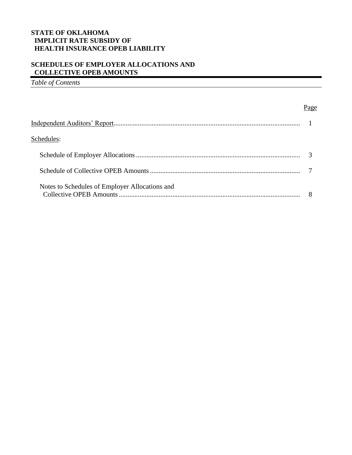# **SCHEDULES OF EMPLOYER ALLOCATIONS AND COLLECTIVE OPEB AMOUNTS**

*Table of Contents* 

| Schedules:                                     |  |
|------------------------------------------------|--|
|                                                |  |
|                                                |  |
| Notes to Schedules of Employer Allocations and |  |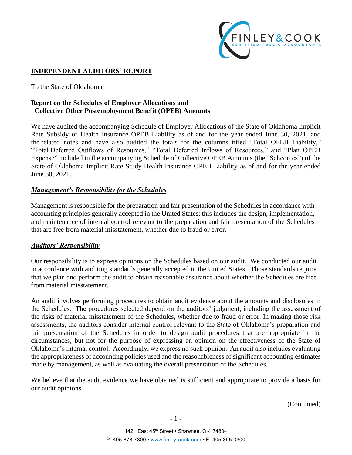

# **INDEPENDENT AUDITORS' REPORT**

To the State of Oklahoma

# **Report on the Schedules of Employer Allocations and Collective Other Postemployment Benefit (OPEB) Amounts**

We have audited the accompanying Schedule of Employer Allocations of the State of Oklahoma Implicit Rate Subsidy of Health Insurance OPEB Liability as of and for the year ended June 30, 2021, and the related notes and have also audited the totals for the columns titled "Total OPEB Liability," "Total Deferred Outflows of Resources," "Total Deferred Inflows of Resources," and "Plan OPEB Expense" included in the accompanying Schedule of Collective OPEB Amounts (the "Schedules") of the State of Oklahoma Implicit Rate Study Health Insurance OPEB Liability as of and for the year ended June 30, 2021.

### *Management's Responsibility for the Schedules*

Management is responsible for the preparation and fair presentation of the Schedules in accordance with accounting principles generally accepted in the United States; this includes the design, implementation, and maintenance of internal control relevant to the preparation and fair presentation of the Schedules that are free from material misstatement, whether due to fraud or error.

### *Auditors' Responsibility*

Our responsibility is to express opinions on the Schedules based on our audit. We conducted our audit in accordance with auditing standards generally accepted in the United States. Those standards require that we plan and perform the audit to obtain reasonable assurance about whether the Schedules are free from material misstatement.

An audit involves performing procedures to obtain audit evidence about the amounts and disclosures in the Schedules. The procedures selected depend on the auditors' judgment, including the assessment of the risks of material misstatement of the Schedules, whether due to fraud or error. In making those risk assessments, the auditors consider internal control relevant to the State of Oklahoma's preparation and fair presentation of the Schedules in order to design audit procedures that are appropriate in the circumstances, but not for the purpose of expressing an opinion on the effectiveness of the State of Oklahoma's internal control. Accordingly, we express no such opinion. An audit also includes evaluating the appropriateness of accounting policies used and the reasonableness of significant accounting estimates made by management, as well as evaluating the overall presentation of the Schedules.

We believe that the audit evidence we have obtained is sufficient and appropriate to provide a basis for our audit opinions.

(Continued)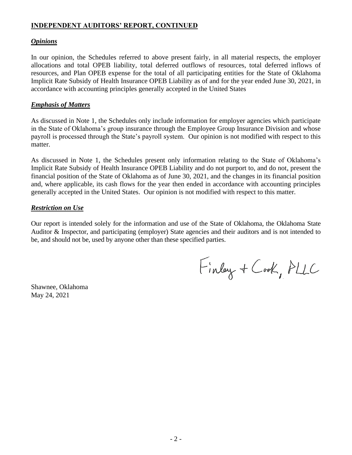# **INDEPENDENT AUDITORS' REPORT, CONTINUED**

### *Opinions*

In our opinion, the Schedules referred to above present fairly, in all material respects, the employer allocations and total OPEB liability, total deferred outflows of resources, total deferred inflows of resources, and Plan OPEB expense for the total of all participating entities for the State of Oklahoma Implicit Rate Subsidy of Health Insurance OPEB Liability as of and for the year ended June 30, 2021, in accordance with accounting principles generally accepted in the United States

### *Emphasis of Matters*

As discussed in Note 1, the Schedules only include information for employer agencies which participate in the State of Oklahoma's group insurance through the Employee Group Insurance Division and whose payroll is processed through the State's payroll system. Our opinion is not modified with respect to this matter.

As discussed in Note 1, the Schedules present only information relating to the State of Oklahoma's Implicit Rate Subsidy of Health Insurance OPEB Liability and do not purport to, and do not, present the financial position of the State of Oklahoma as of June 30, 2021, and the changes in its financial position and, where applicable, its cash flows for the year then ended in accordance with accounting principles generally accepted in the United States. Our opinion is not modified with respect to this matter.

### *Restriction on Use*

Our report is intended solely for the information and use of the State of Oklahoma, the Oklahoma State Auditor & Inspector, and participating (employer) State agencies and their auditors and is not intended to be, and should not be, used by anyone other than these specified parties.

Finlay + Cook, PLLC

Shawnee, Oklahoma May 24, 2021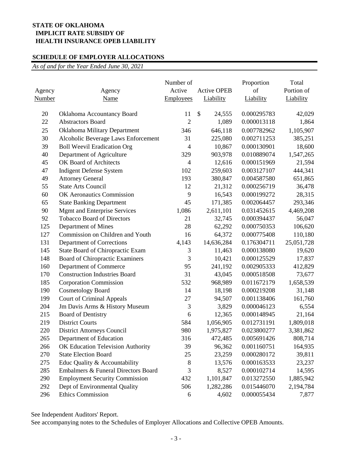### **SCHEDULE OF EMPLOYER ALLOCATIONS**

*As of and for the Year Ended June 30, 2021*

| Agency<br>Number | Agency<br>Name                        | Number of<br>Active<br><b>Employees</b> | <b>Active OPEB</b><br>Liability | Proportion<br>of<br>Liability | Total<br>Portion of<br>Liability |
|------------------|---------------------------------------|-----------------------------------------|---------------------------------|-------------------------------|----------------------------------|
| 20               | Oklahoma Accountancy Board            | 11                                      | \$<br>24,555                    | 0.000295783                   | 42,029                           |
| 22               | <b>Abstractors Board</b>              | $\overline{2}$                          | 1,089                           | 0.000013118                   | 1,864                            |
| 25               | Oklahoma Military Department          | 346                                     | 646,118                         | 0.007782962                   | 1,105,907                        |
| 30               | Alcoholic Beverage Laws Enforcement   | 31                                      | 225,080                         | 0.002711253                   | 385,251                          |
| 39               | <b>Boll Weevil Eradication Org</b>    | 4                                       | 10,867                          | 0.000130901                   | 18,600                           |
| 40               | Department of Agriculture             | 329                                     | 903,978                         | 0.010889074                   | 1,547,265                        |
| 45               | OK Board of Architects                | $\overline{4}$                          | 12,616                          | 0.000151969                   | 21,594                           |
| 47               | <b>Indigent Defense System</b>        | 102                                     | 259,603                         | 0.003127107                   | 444,341                          |
| 49               | <b>Attorney General</b>               | 193                                     | 380,847                         | 0.004587580                   | 651,865                          |
| 55               | <b>State Arts Council</b>             | 12                                      | 21,312                          | 0.000256719                   | 36,478                           |
| 60               | OK Aeronautics Commission             | 9                                       | 16,543                          | 0.000199272                   | 28,315                           |
| 65               | <b>State Banking Department</b>       | 45                                      | 171,385                         | 0.002064457                   | 293,346                          |
| 90               | <b>Mgmt and Enterprise Services</b>   | 1,086                                   | 2,611,101                       | 0.031452615                   | 4,469,208                        |
| 92               | <b>Tobacco Board of Directors</b>     | 21                                      | 32,745                          | 0.000394437                   | 56,047                           |
| 125              | Department of Mines                   | 28                                      | 62,292                          | 0.000750353                   | 106,620                          |
| 127              | Commission on Children and Youth      | 16                                      | 64,372                          | 0.000775408                   | 110,180                          |
| 131              | Department of Corrections             | 4,143                                   | 14,636,284                      | 0.176304711                   | 25,051,728                       |
| 145              | State Board of Chiropractic Exam      | 3                                       | 11,463                          | 0.000138080                   | 19,620                           |
| 148              | Board of Chiropractic Examiners       | 3                                       | 10,421                          | 0.000125529                   | 17,837                           |
| 160              | Department of Commerce                | 95                                      | 241,192                         | 0.002905333                   | 412,829                          |
| 170              | <b>Construction Industries Board</b>  | 31                                      | 43,045                          | 0.000518508                   | 73,677                           |
| 185              | <b>Corporation Commission</b>         | 532                                     | 968,989                         | 0.011672179                   | 1,658,539                        |
| 190              | <b>Cosmetology Board</b>              | 14                                      | 18,198                          | 0.000219208                   | 31,148                           |
| 199              | <b>Court of Criminal Appeals</b>      | 27                                      | 94,507                          | 0.001138406                   | 161,760                          |
| 204              | Jm Davis Arms & History Museum        | 3                                       | 3,829                           | 0.000046123                   | 6,554                            |
| 215              | <b>Board of Dentistry</b>             | 6                                       | 12,365                          | 0.000148945                   | 21,164                           |
| 219              | <b>District Courts</b>                | 584                                     | 1,056,905                       | 0.012731191                   | 1,809,018                        |
| 220              | <b>District Attorneys Council</b>     | 980                                     | 1,975,827                       | 0.023800277                   | 3,381,862                        |
| 265              | Department of Education               | 316                                     | 472,485                         | 0.005691426                   | 808,714                          |
| 266              | OK Education Television Authority     | 39                                      | 96,362                          | 0.001160751                   | 164,935                          |
| 270              | <b>State Election Board</b>           | 25                                      | 23,259                          | 0.000280172                   | 39,811                           |
| 275              | Educ Quality & Accountability         | 8                                       | 13,576                          | 0.000163533                   | 23,237                           |
| 285              | Embalmers & Funeral Directors Board   | 3                                       | 8,527                           | 0.000102714                   | 14,595                           |
| 290              | <b>Employment Security Commission</b> | 432                                     | 1,101,847                       | 0.013272550                   | 1,885,942                        |
| 292              | Dept of Environmental Quality         | 506                                     | 1,282,286                       | 0.015446070                   | 2,194,784                        |
| 296              | <b>Ethics Commission</b>              | 6                                       | 4,602                           | 0.000055434                   | 7,877                            |

See Independent Auditors' Report.

See accompanying notes to the Schedules of Employer Allocations and Collective OPEB Amounts.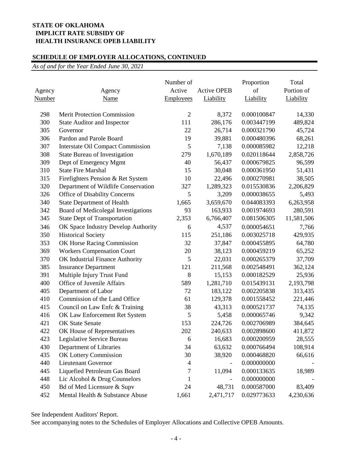# **SCHEDULE OF EMPLOYER ALLOCATIONS, CONTINUED**

*As of and for the Year Ended June 30, 2021*

| Agency<br>Number | Agency<br>Name                           | Number of<br>Active<br><b>Employees</b> | <b>Active OPEB</b><br>Liability | Proportion<br>of<br>Liability | Total<br>Portion of<br>Liability |
|------------------|------------------------------------------|-----------------------------------------|---------------------------------|-------------------------------|----------------------------------|
| 298              | <b>Merit Protection Commission</b>       | $\overline{2}$                          | 8,372                           | 0.000100847                   | 14,330                           |
| 300              | <b>State Auditor and Inspector</b>       | 111                                     | 286,176                         | 0.003447199                   | 489,824                          |
| 305              | Governor                                 | 22                                      | 26,714                          | 0.000321790                   | 45,724                           |
| 306              | Pardon and Parole Board                  | 19                                      | 39,881                          | 0.000480396                   | 68,261                           |
| 307              | <b>Interstate Oil Compact Commission</b> | 5                                       | 7,138                           | 0.000085982                   | 12,218                           |
| 308              | State Bureau of Investigation            | 279                                     | 1,670,189                       | 0.020118644                   | 2,858,726                        |
| 309              | Dept of Emergency Mgmt                   | 40                                      | 56,437                          | 0.000679825                   | 96,599                           |
| 310              | <b>State Fire Marshal</b>                | 15                                      | 30,048                          | 0.000361950                   | 51,431                           |
| 315              | Firefighters Pension & Ret System        | 10                                      | 22,496                          | 0.000270981                   | 38,505                           |
| 320              | Department of Wildlife Conservation      | 327                                     | 1,289,323                       | 0.015530836                   | 2,206,829                        |
| 326              | Office of Disability Concerns            | 5                                       | 3,209                           | 0.000038655                   | 5,493                            |
| 340              | <b>State Department of Health</b>        | 1,665                                   | 3,659,670                       | 0.044083393                   | 6,263,958                        |
| 342              | Board of Medicolegal Investigations      | 93                                      | 163,933                         | 0.001974693                   | 280,591                          |
| 345              | <b>State Dept of Transportation</b>      | 2,353                                   | 6,766,407                       | 0.081506305                   | 11,581,506                       |
| 346              | OK Space Industry Develop Authority      | 6                                       | 4,537                           | 0.000054651                   | 7,766                            |
| 350              | <b>Historical Society</b>                | 115                                     | 251,186                         | 0.003025718                   | 429,935                          |
| 353              | OK Horse Racing Commission               | 32                                      | 37,847                          | 0.000455895                   | 64,780                           |
| 369              | <b>Workers Compensation Court</b>        | 20                                      | 38,123                          | 0.000459219                   | 65,252                           |
| 370              | OK Industrial Finance Authority          | 5                                       | 22,031                          | 0.000265379                   | 37,709                           |
| 385              | <b>Insurance Department</b>              | 121                                     | 211,568                         | 0.002548491                   | 362,124                          |
| 391              | Multiple Injury Trust Fund               | 8                                       | 15,153                          | 0.000182529                   | 25,936                           |
| 400              | Office of Juvenile Affairs               | 589                                     | 1,281,710                       | 0.015439131                   | 2,193,798                        |
| 405              | Department of Labor                      | 72                                      | 183,122                         | 0.002205838                   | 313,435                          |
| 410              | Commission of the Land Office            | 61                                      | 129,378                         | 0.001558452                   | 221,446                          |
| 415              | Council on Law Enfc & Training           | 38                                      | 43,313                          | 0.000521737                   | 74,135                           |
| 416              | OK Law Enforcement Ret System            | 5                                       | 5,458                           | 0.000065746                   | 9,342                            |
| 421              | <b>OK State Senate</b>                   | 153                                     | 224,726                         | 0.002706989                   | 384,645                          |
| 422              | OK House of Representatives              | 202                                     | 240,633                         | 0.002898600                   | 411,872                          |
| 423              | Legislative Service Bureau               | 6                                       | 16,683                          | 0.000200959                   | 28,555                           |
| 430              | Department of Libraries                  | 34                                      | 63,632                          | 0.000766494                   | 108,914                          |
| 435              | OK Lottery Commission                    | 30                                      | 38,920                          | 0.000468820                   | 66,616                           |
| 440              | <b>Lieutenant Governor</b>               | 4                                       |                                 | 0.000000000                   |                                  |
| 445              | Liquefied Petroleum Gas Board            | 7                                       | 11,094                          | 0.000133635                   | 18,989                           |
| 448              | Lic Alcohol & Drug Counselors            | 1                                       |                                 | 0.000000000                   |                                  |
| 450              | Bd of Med Licensure & Supv               | 24                                      | 48,731                          | 0.000587000                   | 83,409                           |
| 452              | Mental Health & Substance Abuse          | 1,661                                   | 2,471,717                       | 0.029773633                   | 4,230,636                        |

See Independent Auditors' Report.

See accompanying notes to the Schedules of Employer Allocations and Collective OPEB Amounts.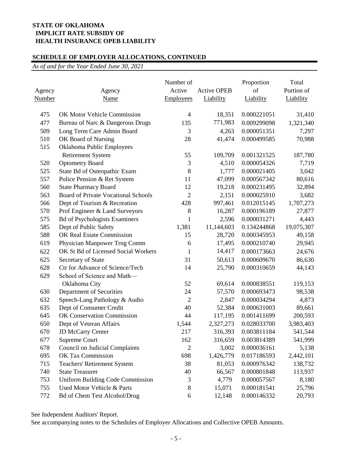# **SCHEDULE OF EMPLOYER ALLOCATIONS, CONTINUED**

*As of and for the Year Ended June 30, 2021*

| Agency<br><u>Number</u> | Agency<br>Name                             | Number of<br>Active<br>Employees | <b>Active OPEB</b><br>Liability | Proportion<br>of<br>Liability | Total<br>Portion of<br>Liability |
|-------------------------|--------------------------------------------|----------------------------------|---------------------------------|-------------------------------|----------------------------------|
| 475                     | OK Motor Vehicle Commission                | $\overline{4}$                   | 18,351                          | 0.000221051                   | 31,410                           |
| 477                     | Bureau of Narc & Dangerous Drugs           | 135                              | 771,983                         | 0.009299098                   | 1,321,340                        |
| 509                     | Long Term Care Admin Board                 | 3                                | 4,263                           | 0.000051351                   | 7,297                            |
| 510                     | OK Board of Nursing                        | 28                               | 41,474                          | 0.000499585                   | 70,988                           |
| 515                     | Oklahoma Public Employees                  |                                  |                                 |                               |                                  |
|                         | <b>Retirement System</b>                   | 55                               | 109,709                         | 0.001321525                   | 187,780                          |
| 520                     | <b>Optometry Board</b>                     | 3                                | 4,510                           | 0.000054326                   | 7,719                            |
| 525                     | State Bd of Osteopathic Exam               | 8                                | 1,777                           | 0.000021405                   | 3,042                            |
| 557                     | Police Pension & Ret System                | 11                               | 47,099                          | 0.000567342                   | 80,616                           |
| 560                     | <b>State Pharmacy Board</b>                | 12                               | 19,218                          | 0.000231495                   | 32,894                           |
| 563                     | <b>Board of Private Vocational Schools</b> | $\overline{2}$                   | 2,151                           | 0.000025910                   | 3,682                            |
| 566                     | Dept of Tourism & Recreation               | 428                              | 997,461                         | 0.012015145                   | 1,707,273                        |
| 570                     | Prof Engineer & Land Surveyors             | $\,8\,$                          | 16,287                          | 0.000196189                   | 27,877                           |
| 575                     | <b>Bd of Psychologists Examiners</b>       | $\mathbf{1}$                     | 2,596                           | 0.000031271                   | 4,443                            |
| 585                     | Dept of Public Safety                      | 1,381                            | 11,144,603                      | 0.134244868                   | 19,075,307                       |
| 588                     | OK Real Estate Commission                  | 15                               | 28,720                          | 0.000345953                   | 49,158                           |
| 619                     | Physician Manpower Trng Comm               | 6                                | 17,495                          | 0.000210740                   | 29,945                           |
| 622                     | OK St Bd of Licensed Social Workers        | 1                                | 14,417                          | 0.000173663                   | 24,676                           |
| 625                     | Secretary of State                         | 31                               | 50,613                          | 0.000609670                   | 86,630                           |
| 628                     | Ctr for Advance of Science/Tech            | 14                               | 25,790                          | 0.000310659                   | 44,143                           |
| 629                     | School of Science and Math-                |                                  |                                 |                               |                                  |
|                         | Oklahoma City                              | 52                               | 69,614                          | 0.000838551                   | 119,153                          |
| 630                     | Department of Securities                   | 24                               | 57,570                          | 0.000693473                   | 98,538                           |
| 632                     | Speech-Lang Pathology & Audio              | $\overline{2}$                   | 2,847                           | 0.000034294                   | 4,873                            |
| 635                     | Dept of Consumer Credit                    | 40                               | 52,384                          | 0.000631003                   | 89,661                           |
| 645                     | OK Conservation Commission                 | 44                               | 117,195                         | 0.001411699                   | 200,593                          |
| 650                     | Dept of Veteran Affairs                    | 1,544                            | 2,327,273                       | 0.028033700                   | 3,983,403                        |
| 670                     | <b>JD McCarty Center</b>                   | 217                              | 316,393                         | 0.003811184                   | 541,544                          |
| 677                     | <b>Supreme Court</b>                       | 162                              | 316,659                         | 0.003814389                   | 541,999                          |
| 678                     | <b>Council on Judicial Complaints</b>      | $\overline{2}$                   | 3,002                           | 0.000036161                   | 5,138                            |
| 695                     | OK Tax Commission                          | 698                              | 1,426,779                       | 0.017186593                   | 2,442,101                        |
| 715                     | <b>Teachers' Retirement System</b>         | 38                               | 81,053                          | 0.000976342                   | 138,732                          |
| 740                     | <b>State Treasurer</b>                     | 40                               | 66,567                          | 0.000801848                   | 113,937                          |
| 753                     | <b>Uniform Building Code Commission</b>    | 3                                | 4,779                           | 0.000057567                   | 8,180                            |
| 755                     | Used Motor Vehicle & Parts                 | 8                                | 15,071                          | 0.000181541                   | 25,796                           |
| 772                     | <b>Bd of Chem Test Alcohol/Drug</b>        | 6                                | 12,148                          | 0.000146332                   | 20,793                           |

See Independent Auditors' Report.

See accompanying notes to the Schedules of Employer Allocations and Collective OPEB Amounts.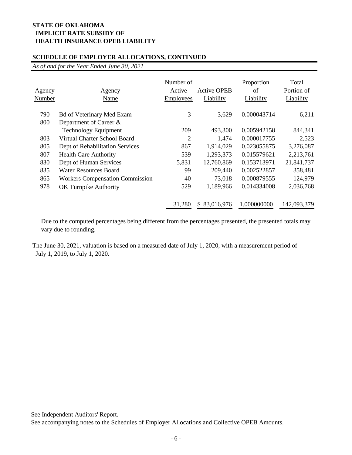### **SCHEDULE OF EMPLOYER ALLOCATIONS, CONTINUED**

*As of and for the Year Ended June 30, 2021*

 $\overline{\phantom{a}}$ 

| Agency<br>Number | Agency<br>Name                         | Number of<br>Active<br><b>Employees</b> | <b>Active OPEB</b><br>Liability | Proportion<br>of<br>Liability | Total<br>Portion of<br>Liability |
|------------------|----------------------------------------|-----------------------------------------|---------------------------------|-------------------------------|----------------------------------|
| 790              | <b>Bd of Veterinary Med Exam</b>       | 3                                       | 3,629                           | 0.000043714                   | 6,211                            |
| 800              | Department of Career &                 |                                         |                                 |                               |                                  |
|                  | <b>Technology Equipment</b>            | 209                                     | 493,300                         | 0.005942158                   | 844,341                          |
| 803              | Virtual Charter School Board           | 2                                       | 1,474                           | 0.000017755                   | 2,523                            |
| 805              | Dept of Rehabilitation Services        | 867                                     | 1,914,029                       | 0.023055875                   | 3,276,087                        |
| 807              | <b>Health Care Authority</b>           | 539                                     | 1,293,373                       | 0.015579621                   | 2,213,761                        |
| 830              | Dept of Human Services                 | 5,831                                   | 12,760,869                      | 0.153713971                   | 21,841,737                       |
| 835              | Water Resources Board                  | 99                                      | 209,440                         | 0.002522857                   | 358,481                          |
| 865              | <b>Workers Compensation Commission</b> | 40                                      | 73,018                          | 0.000879555                   | 124,979                          |
| 978              | OK Turnpike Authority                  | 529                                     | 1,189,966                       | 0.014334008                   | 2,036,768                        |
|                  |                                        | 31,280                                  | \$83,016,976                    | 1.000000000                   | 142,093,379                      |

Due to the computed percentages being different from the percentages presented, the presented totals may vary due to rounding.

The June 30, 2021, valuation is based on a measured date of July 1, 2020, with a measurement period of July 1, 2019, to July 1, 2020.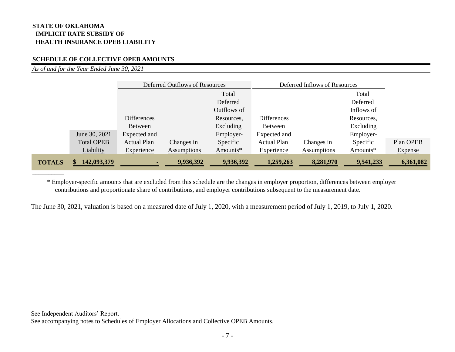### **SCHEDULE OF COLLECTIVE OPEB AMOUNTS**

*As of and for the Year Ended June 30, 2021*

 $\overline{\phantom{a}}$ 

|               | June 30, 2021<br><b>Total OPEB</b> | Expected and<br><b>Actual Plan</b> | Changes in         | Excluding<br>Employer-<br>Specific | Expected and<br><b>Actual Plan</b> | Changes in         | Excluding<br>Employer-<br>Specific | Plan OPEB      |
|---------------|------------------------------------|------------------------------------|--------------------|------------------------------------|------------------------------------|--------------------|------------------------------------|----------------|
|               | Liability                          | Experience                         | <b>Assumptions</b> | Amounts*                           | <b>Experience</b>                  | <b>Assumptions</b> | Amounts*                           | <b>Expense</b> |
| <b>TOTALS</b> | 142,093,379                        | ٠                                  | 9,936,392          | 9,936,392                          | 1,259,263                          | 8,281,970          | 9,541,233                          | 6,361,082      |

 \* Employer-specific amounts that are excluded from this schedule are the changes in employer proportion, differences between employer contributions and proportionate share of contributions, and employer contributions subsequent to the measurement date.

The June 30, 2021, valuation is based on a measured date of July 1, 2020, with a measurement period of July 1, 2019, to July 1, 2020.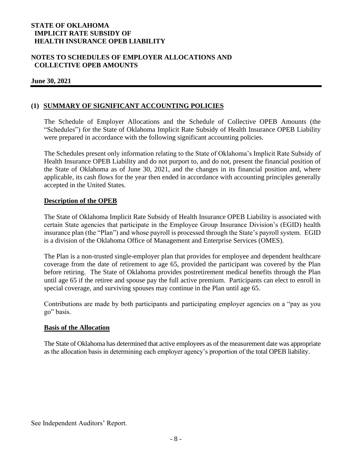# **NOTES TO SCHEDULES OF EMPLOYER ALLOCATIONS AND COLLECTIVE OPEB AMOUNTS**

### **June 30, 2021**

# **(1) SUMMARY OF SIGNIFICANT ACCOUNTING POLICIES**

The Schedule of Employer Allocations and the Schedule of Collective OPEB Amounts (the "Schedules") for the State of Oklahoma Implicit Rate Subsidy of Health Insurance OPEB Liability were prepared in accordance with the following significant accounting policies.

The Schedules present only information relating to the State of Oklahoma's Implicit Rate Subsidy of Health Insurance OPEB Liability and do not purport to, and do not, present the financial position of the State of Oklahoma as of June 30, 2021, and the changes in its financial position and, where applicable, its cash flows for the year then ended in accordance with accounting principles generally accepted in the United States.

### **Description of the OPEB**

The State of Oklahoma Implicit Rate Subsidy of Health Insurance OPEB Liability is associated with certain State agencies that participate in the Employee Group Insurance Division's (EGID) health insurance plan (the "Plan") and whose payroll is processed through the State's payroll system. EGID is a division of the Oklahoma Office of Management and Enterprise Services (OMES).

The Plan is a non-trusted single-employer plan that provides for employee and dependent healthcare coverage from the date of retirement to age 65, provided the participant was covered by the Plan before retiring. The State of Oklahoma provides postretirement medical benefits through the Plan until age 65 if the retiree and spouse pay the full active premium. Participants can elect to enroll in special coverage, and surviving spouses may continue in the Plan until age 65.

Contributions are made by both participants and participating employer agencies on a "pay as you go" basis.

### **Basis of the Allocation**

The State of Oklahoma has determined that active employees as of the measurement date was appropriate as the allocation basis in determining each employer agency's proportion of the total OPEB liability.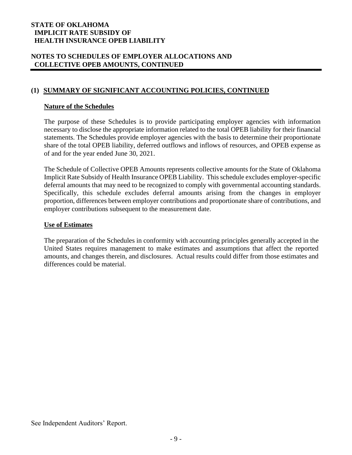# **NOTES TO SCHEDULES OF EMPLOYER ALLOCATIONS AND COLLECTIVE OPEB AMOUNTS, CONTINUED**

# **(1) SUMMARY OF SIGNIFICANT ACCOUNTING POLICIES, CONTINUED**

### **Nature of the Schedules**

The purpose of these Schedules is to provide participating employer agencies with information necessary to disclose the appropriate information related to the total OPEB liability for their financial statements. The Schedules provide employer agencies with the basis to determine their proportionate share of the total OPEB liability, deferred outflows and inflows of resources, and OPEB expense as of and for the year ended June 30, 2021.

The Schedule of Collective OPEB Amounts represents collective amounts for the State of Oklahoma Implicit Rate Subsidy of Health Insurance OPEB Liability. This schedule excludes employer-specific deferral amounts that may need to be recognized to comply with governmental accounting standards. Specifically, this schedule excludes deferral amounts arising from the changes in employer proportion, differences between employer contributions and proportionate share of contributions, and employer contributions subsequent to the measurement date.

### **Use of Estimates**

The preparation of the Schedules in conformity with accounting principles generally accepted in the United States requires management to make estimates and assumptions that affect the reported amounts, and changes therein, and disclosures. Actual results could differ from those estimates and differences could be material.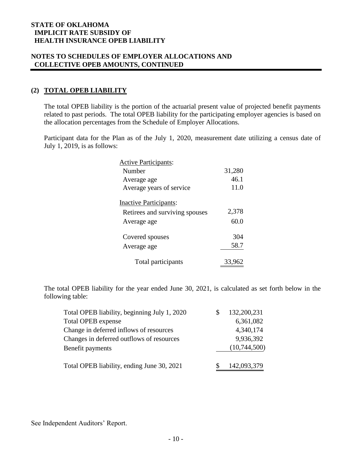# **NOTES TO SCHEDULES OF EMPLOYER ALLOCATIONS AND COLLECTIVE OPEB AMOUNTS, CONTINUED**

# **(2) TOTAL OPEB LIABILITY**

The total OPEB liability is the portion of the actuarial present value of projected benefit payments related to past periods. The total OPEB liability for the participating employer agencies is based on the allocation percentages from the Schedule of Employer Allocations.

Participant data for the Plan as of the July 1, 2020, measurement date utilizing a census date of July 1, 2019, is as follows:

| <b>Active Participants:</b>    |        |
|--------------------------------|--------|
| Number                         | 31,280 |
| Average age                    | 46.1   |
| Average years of service       | 11.0   |
| <b>Inactive Participants:</b>  |        |
| Retirees and surviving spouses | 2,378  |
| Average age                    | 60.0   |
| Covered spouses                | 304    |
| Average age                    | 58.7   |
| Total participants             | 33.962 |

The total OPEB liability for the year ended June 30, 2021, is calculated as set forth below in the following table:

| Total OPEB liability, beginning July 1, 2020 | 132,200,231  |
|----------------------------------------------|--------------|
| <b>Total OPEB</b> expense                    | 6,361,082    |
| Change in deferred inflows of resources      | 4,340,174    |
| Changes in deferred outflows of resources    | 9,936,392    |
| Benefit payments                             | (10,744,500) |
| Total OPEB liability, ending June 30, 2021   | 142,093,379  |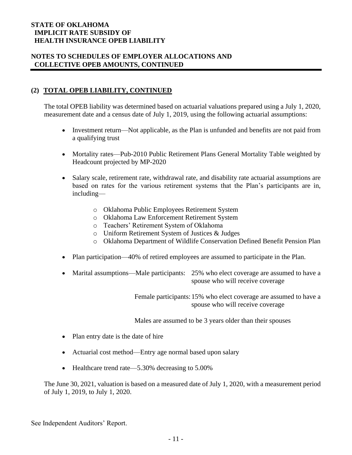# **NOTES TO SCHEDULES OF EMPLOYER ALLOCATIONS AND COLLECTIVE OPEB AMOUNTS, CONTINUED**

# **(2) TOTAL OPEB LIABILITY, CONTINUED**

The total OPEB liability was determined based on actuarial valuations prepared using a July 1, 2020, measurement date and a census date of July 1, 2019, using the following actuarial assumptions:

- Investment return—Not applicable, as the Plan is unfunded and benefits are not paid from a qualifying trust
- Mortality rates—Pub-2010 Public Retirement Plans General Mortality Table weighted by Headcount projected by MP-2020
- Salary scale, retirement rate, withdrawal rate, and disability rate actuarial assumptions are based on rates for the various retirement systems that the Plan's participants are in, including
	- o Oklahoma Public Employees Retirement System
	- o Oklahoma Law Enforcement Retirement System
	- o Teachers' Retirement System of Oklahoma
	- o Uniform Retirement System of Justices & Judges
	- o Oklahoma Department of Wildlife Conservation Defined Benefit Pension Plan
- Plan participation—40% of retired employees are assumed to participate in the Plan.
- Marital assumptions—Male participants: 25% who elect coverage are assumed to have a spouse who will receive coverage

 Female participants: 15% who elect coverage are assumed to have a spouse who will receive coverage

Males are assumed to be 3 years older than their spouses

- Plan entry date is the date of hire
- Actuarial cost method—Entry age normal based upon salary
- Healthcare trend rate—5.30% decreasing to 5.00%

The June 30, 2021, valuation is based on a measured date of July 1, 2020, with a measurement period of July 1, 2019, to July 1, 2020.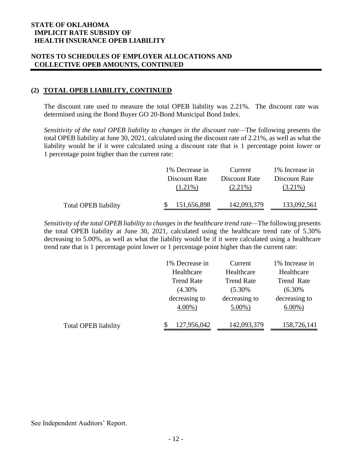# **NOTES TO SCHEDULES OF EMPLOYER ALLOCATIONS AND COLLECTIVE OPEB AMOUNTS, CONTINUED**

# **(2) TOTAL OPEB LIABILITY, CONTINUED**

The discount rate used to measure the total OPEB liability was 2.21%. The discount rate was determined using the Bond Buyer GO 20-Bond Municipal Bond Index.

*Sensitivity of the total OPEB liability to changes in the discount rate—*The following presents the total OPEB liability at June 30, 2021, calculated using the discount rate of 2.21%, as well as what the liability would be if it were calculated using a discount rate that is 1 percentage point lower or 1 percentage point higher than the current rate:

|                             | 1% Decrease in | Current       | 1% Increase in |
|-----------------------------|----------------|---------------|----------------|
|                             | Discount Rate  | Discount Rate | Discount Rate  |
|                             | $(1.21\%)$     | $(2.21\%)$    | $(3.21\%)$     |
|                             |                |               |                |
| <b>Total OPEB liability</b> | 151,656,898    | 142,093,379   | 133,092,561    |

*Sensitivity of the total OPEB liability to changes in the healthcare trend rate—*The following presents the total OPEB liability at June 30, 2021, calculated using the healthcare trend rate of 5.30% decreasing to 5.00%, as well as what the liability would be if it were calculated using a healthcare trend rate that is 1 percentage point lower or 1 percentage point higher than the current rate:

|                             | 1% Decrease in    | Current           | 1% Increase in |
|-----------------------------|-------------------|-------------------|----------------|
|                             | Healthcare        | Healthcare        | Healthcare     |
|                             | <b>Trend Rate</b> | <b>Trend Rate</b> | Trend Rate     |
|                             | $(4.30\%$         | $(5.30\%$         | $(6.30\%$      |
|                             | decreasing to     | decreasing to     | decreasing to  |
|                             | $4.00\%$ )        | $5.00\%$ )        | $6.00\%$ )     |
| <b>Total OPEB liability</b> | 127,956,042       | 142,093,379       | 158,726,141    |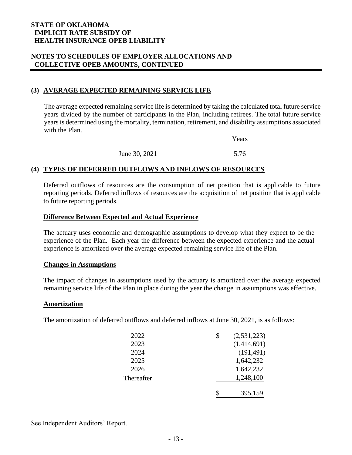### **NOTES TO SCHEDULES OF EMPLOYER ALLOCATIONS AND COLLECTIVE OPEB AMOUNTS, CONTINUED**

# **(3) AVERAGE EXPECTED REMAINING SERVICE LIFE**

The average expected remaining service life is determined by taking the calculated total future service years divided by the number of participants in the Plan, including retirees. The total future service years is determined using the mortality, termination, retirement, and disability assumptions associated with the Plan.

|               | Years |
|---------------|-------|
| June 30, 2021 | 5.76  |

### **(4) TYPES OF DEFERRED OUTFLOWS AND INFLOWS OF RESOURCES**

Deferred outflows of resources are the consumption of net position that is applicable to future reporting periods. Deferred inflows of resources are the acquisition of net position that is applicable to future reporting periods.

### **Difference Between Expected and Actual Experience**

The actuary uses economic and demographic assumptions to develop what they expect to be the experience of the Plan. Each year the difference between the expected experience and the actual experience is amortized over the average expected remaining service life of the Plan.

### **Changes in Assumptions**

The impact of changes in assumptions used by the actuary is amortized over the average expected remaining service life of the Plan in place during the year the change in assumptions was effective.

### **Amortization**

The amortization of deferred outflows and deferred inflows at June 30, 2021, is as follows:

| 2022       | (2, 531, 223) |
|------------|---------------|
| 2023       | (1,414,691)   |
| 2024       | (191, 491)    |
| 2025       | 1,642,232     |
| 2026       | 1,642,232     |
| Thereafter | 1,248,100     |
|            | 395,159       |